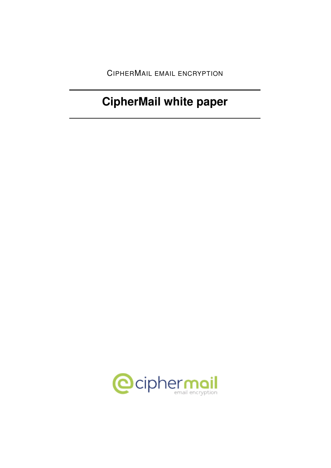CIPHERMAIL EMAIL ENCRYPTION

# **CipherMail white paper**

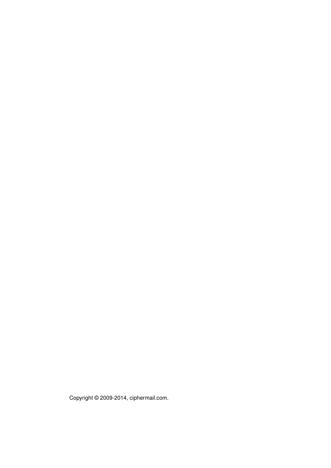Copyright © 2009-2014, ciphermail.com.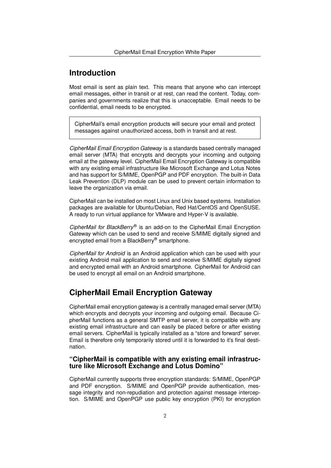## **Introduction**

Most email is sent as plain text. This means that anyone who can intercept email messages, either in transit or at rest, can read the content. Today, companies and governments realize that this is unacceptable. Email needs to be confidential, email needs to be encrypted.

CipherMail's email encryption products will secure your email and protect messages against unauthorized access, both in transit and at rest.

*CipherMail Email Encryption Gateway* is a standards based centrally managed email server (MTA) that encrypts and decrypts your incoming and outgoing email at the gateway level. CipherMail Email Encryption Gateway is compatible with any existing email infrastructure like Microsoft Exchange and Lotus Notes and has support for S/MIME, OpenPGP and PDF encryption. The built-in Data Leak Prevention (DLP) module can be used to prevent certain information to leave the organization via email.

CipherMail can be installed on most Linux and Unix based systems. Installation packages are available for Ubuntu/Debian, Red Hat/CentOS and OpenSUSE. A ready to run virtual appliance for VMware and Hyper-V is available.

*CipherMail for BlackBerry*® is an add-on to the CipherMail Email Encryption Gateway which can be used to send and receive S/MIME digitally signed and encrypted email from a BlackBerry® smartphone.

*CipherMail for Android* is an Android application which can be used with your existing Android mail application to send and receive S/MIME digitally signed and encrypted email with an Android smartphone. CipherMail for Android can be used to encrypt all email on an Android smartphone.

## **CipherMail Email Encryption Gateway**

CipherMail email encryption gateway is a centrally managed email server (MTA) which encrypts and decrypts your incoming and outgoing email. Because CipherMail functions as a general SMTP email server, it is compatible with any existing email infrastructure and can easily be placed before or after existing email servers. CipherMail is typically installed as a "store and forward" server. Email is therefore only temporarily stored until it is forwarded to it's final destination.

## **"CipherMail is compatible with any existing email infrastructure like Microsoft Exchange and Lotus Domino"**

CipherMail currently supports three encryption standards: S/MIME, OpenPGP and PDF encryption. S/MIME and OpenPGP provide authentication, message integrity and non-repudiation and protection against message interception. S/MIME and OpenPGP use public key encryption (PKI) for encryption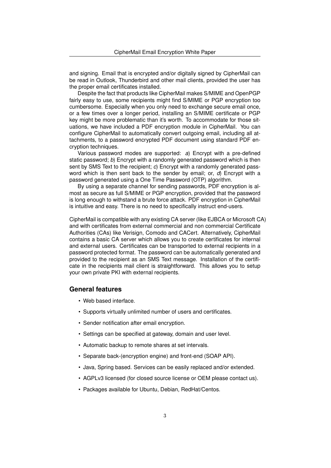and signing. Email that is encrypted and/or digitally signed by CipherMail can be read in Outlook, Thunderbird and other mail clients, provided the user has the proper email certificates installed.

Despite the fact that products like CipherMail makes S/MIME and OpenPGP fairly easy to use, some recipients might find S/MIME or PGP encryption too cumbersome. Especially when you only need to exchange secure email once, or a few times over a longer period, installing an S/MIME certificate or PGP key might be more problematic than it's worth. To accommodate for those situations, we have included a PDF encryption module in CipherMail. You can configure CipherMail to automatically convert outgoing email, including all attachments, to a password encrypted PDF document using standard PDF encryption techniques.

Various password modes are supported: *a*) Encrypt with a pre-defined static password; *b*) Encrypt with a randomly generated password which is then sent by SMS Text to the recipient; *c*) Encrypt with a randomly generated password which is then sent back to the sender by email; or, *d*) Encrypt with a password generated using a One Time Password (OTP) algorithm.

By using a separate channel for sending passwords, PDF encryption is almost as secure as full S/MIME or PGP encryption, provided that the password is long enough to withstand a brute force attack. PDF encryption in CipherMail is intuitive and easy. There is no need to specifically instruct end-users.

CipherMail is compatible with any existing CA server (like EJBCA or Microsoft CA) and with certificates from external commercial and non commercial Certificate Authorities (CAs) like Verisign, Comodo and CACert. Alternatively, CipherMail contains a basic CA server which allows you to create certificates for internal and external users. Certificates can be transported to external recipients in a password protected format. The password can be automatically generated and provided to the recipient as an SMS Text message. Installation of the certificate in the recipients mail client is straightforward. This allows you to setup your own private PKI with external recipients.

## **General features**

- Web based interface.
- Supports virtually unlimited number of users and certificates.
- Sender notification after email encryption.
- Settings can be specified at gateway, domain and user level.
- Automatic backup to remote shares at set intervals.
- Separate back-(encryption engine) and front-end (SOAP API).
- Java, Spring based. Services can be easily replaced and/or extended.
- AGPLv3 licensed (for closed source license or OEM please contact us).
- Packages available for Ubuntu, Debian, RedHat/Centos.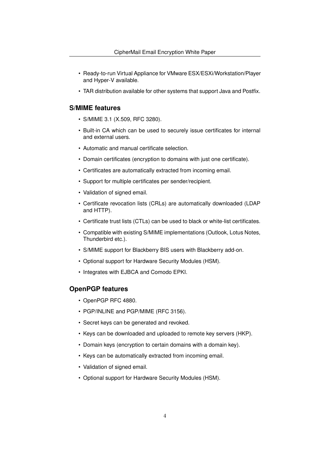- Ready-to-run Virtual Appliance for VMware ESX/ESXi/Workstation/Player and Hyper-V available.
- TAR distribution available for other systems that support Java and Postfix.

## **S/MIME features**

- S/MIME 3.1 (X.509, RFC 3280).
- Built-in CA which can be used to securely issue certificates for internal and external users.
- Automatic and manual certificate selection.
- Domain certificates (encryption to domains with just one certificate).
- Certificates are automatically extracted from incoming email.
- Support for multiple certificates per sender/recipient.
- Validation of signed email.
- Certificate revocation lists (CRLs) are automatically downloaded (LDAP and HTTP).
- Certificate trust lists (CTLs) can be used to black or white-list certificates.
- Compatible with existing S/MIME implementations (Outlook, Lotus Notes, Thunderbird etc.).
- S/MIME support for Blackberry BIS users with Blackberry add-on.
- Optional support for Hardware Security Modules (HSM).
- Integrates with EJBCA and Comodo EPKI.

## **OpenPGP features**

- OpenPGP RFC 4880.
- PGP/INLINE and PGP/MIME (RFC 3156).
- Secret keys can be generated and revoked.
- Keys can be downloaded and uploaded to remote key servers (HKP).
- Domain keys (encryption to certain domains with a domain key).
- Keys can be automatically extracted from incoming email.
- Validation of signed email.
- Optional support for Hardware Security Modules (HSM).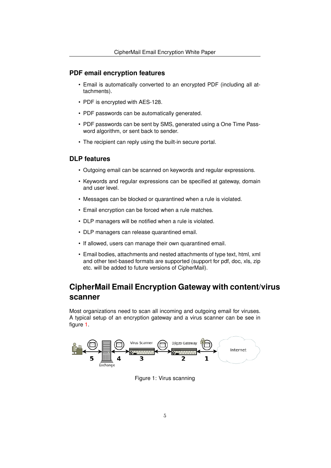## **PDF email encryption features**

- Email is automatically converted to an encrypted PDF (including all attachments).
- PDF is encrypted with AES-128.
- PDF passwords can be automatically generated.
- PDF passwords can be sent by SMS, generated using a One Time Password algorithm, or sent back to sender.
- The recipient can reply using the built-in secure portal.

## **DLP features**

- Outgoing email can be scanned on keywords and regular expressions.
- Keywords and regular expressions can be specified at gateway, domain and user level.
- Messages can be blocked or quarantined when a rule is violated.
- Email encryption can be forced when a rule matches.
- DLP managers will be notified when a rule is violated.
- DLP managers can release quarantined email.
- If allowed, users can manage their own quarantined email.
- Email bodies, attachments and nested attachments of type text, html, xml and other text-based formats are supported (support for pdf, doc, xls, zip etc. will be added to future versions of CipherMail).

# **CipherMail Email Encryption Gateway with content/virus scanner**

Most organizations need to scan all incoming and outgoing email for viruses. A typical setup of an encryption gateway and a virus scanner can be see in figure [1.](#page-5-0)



<span id="page-5-0"></span>Figure 1: Virus scanning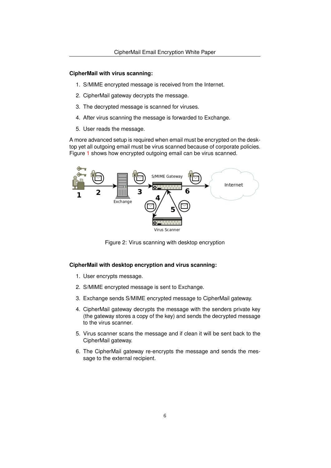#### **CipherMail with virus scanning:**

- 1. S/MIME encrypted message is received from the Internet.
- 2. CipherMail gateway decrypts the message.
- 3. The decrypted message is scanned for viruses.
- 4. After virus scanning the message is forwarded to Exchange.
- 5. User reads the message.

A more advanced setup is required when email must be encrypted on the desktop yet all outgoing email must be virus scanned because of corporate policies. Figure [1](#page-5-0) shows how encrypted outgoing email can be virus scanned.



Figure 2: Virus scanning with desktop encryption

#### **CipherMail with desktop encryption and virus scanning:**

- 1. User encrypts message.
- 2. S/MIME encrypted message is sent to Exchange.
- 3. Exchange sends S/MIME encrypted message to CipherMail gateway.
- 4. CipherMail gateway decrypts the message with the senders private key (the gateway stores a copy of the key) and sends the decrypted message to the virus scanner.
- 5. Virus scanner scans the message and if clean it will be sent back to the CipherMail gateway.
- 6. The CipherMail gateway re-encrypts the message and sends the message to the external recipient.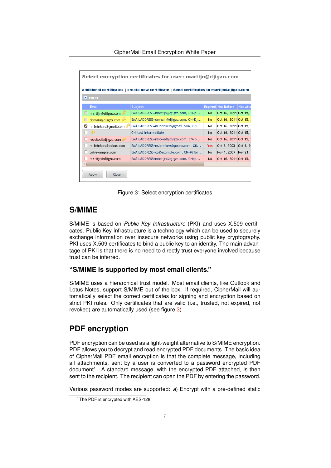| Select encryption certificates for user: martijn@djiqzo.com                                                         |                      |                                       |            |                           |                 |  |  |  |  |
|---------------------------------------------------------------------------------------------------------------------|----------------------|---------------------------------------|------------|---------------------------|-----------------|--|--|--|--|
| additional certificates   create new certificate   Send certificates to martijn@djigzo.com<br>$\blacksquare$ Filter |                      |                                       |            |                           |                 |  |  |  |  |
|                                                                                                                     | Email                | Subject                               |            | <b>Expired Not Before</b> | <b>Not Afte</b> |  |  |  |  |
|                                                                                                                     | martijn@djigzo.com   | EMAILADDRESS=martijn@djigzo.com, CN=p | No         | Oct 16, 2011 Oct 15, 2    |                 |  |  |  |  |
| $\Box$                                                                                                              | domain@djigzo.com    | EMAILADDRESS=domain@djigzo.com, CN=Dj | <b>No</b>  | Oct 16, 2011 Oct 15, 2    |                 |  |  |  |  |
| ✓                                                                                                                   | m.brinkers@gmail.com | EMAILADDRESS=m.brinkers@gmail.com, CN | No         | Oct 16, 2011 Oct 15, 2    |                 |  |  |  |  |
|                                                                                                                     | D                    | CN=test intermediate                  | No         | Oct 16, 2011 Oct 15, 2    |                 |  |  |  |  |
|                                                                                                                     | revoked@djigzo.com   | EMAILADDRESS=revoked@djigzo.com, CN=p | <b>No</b>  | Oct 16, 2011 Oct 15, 2    |                 |  |  |  |  |
|                                                                                                                     | m.brinkers@pobox.com | EMAILADDRESS=m.brinkers@pobox.com, CN | <b>Yes</b> | Oct 3, 2003 Oct 3, 20     |                 |  |  |  |  |
|                                                                                                                     | ca@example.com       | EMAILADDRESS=ca@example.com, CN=MITM  | No         | Nov 1, 2007               | Nov $21.7$      |  |  |  |  |
|                                                                                                                     | martijn@djigzo.com   | EMAILADDRESS=martijn@djigzo.com, CN=p | <b>No</b>  | Oct 16, 2011 Oct 15, 2    |                 |  |  |  |  |
|                                                                                                                     |                      |                                       |            |                           |                 |  |  |  |  |

<span id="page-7-0"></span>Figure 3: Select encryption certificates

## **S/MIME**

S/MIME is based on *Public Key Infrastructure* (PKI) and uses X.509 certificates. Public Key Infrastructure is a technology which can be used to securely exchange information over insecure networks using public key cryptography. PKI uses X.509 certificates to bind a public key to an identity. The main advantage of PKI is that there is no need to directly trust everyone involved because trust can be inferred.

## **"S/MIME is supported by most email clients."**

S/MIME uses a hierarchical trust model. Most email clients, like Outlook and Lotus Notes, support S/MIME out of the box. If required, CipherMail will automatically select the correct certificates for signing and encryption based on strict PKI rules. Only certificates that are valid (i.e., trusted, not expired, not revoked) are automatically used (see figure [3\)](#page-7-0)

# **PDF encryption**

PDF encryption can be used as a light-weight alternative to S/MIME encryption. PDF allows you to decrypt and read encrypted PDF documents. The basic idea of CipherMail PDF email encryption is that the complete message, including all attachments, sent by a user is converted to a password encrypted PDF document<sup>1</sup>. A standard message, with the encrypted PDF attached, is then sent to the recipient. The recipient can open the PDF by entering the password.

Various password modes are supported: *a*) Encrypt with a pre-defined static

<sup>&</sup>lt;sup>1</sup>The PDF is encrypted with AES-128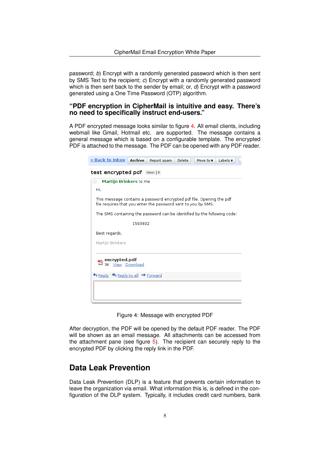password; *b*) Encrypt with a randomly generated password which is then sent by SMS Text to the recipient; *c*) Encrypt with a randomly generated password which is then sent back to the sender by email; or, *d*) Encrypt with a password generated using a One Time Password (OTP) algorithm.

## **"PDF encryption in CipherMail is intuitive and easy. There's no need to specifically instruct end-users."**

A PDF encrypted message looks similar to figure [4.](#page-8-0) All email clients, including webmail like Gmail, Hotmail etc. are supported. The message contains a general message which is based on a configurable template. The encrypted PDF is attached to the message. The PDF can be opened with any PDF reader.

| <u>« Back to Inbox  </u>                                                                                                              | Archive | Report spam | Delete | Move to $\mathbf v$ | Labels $\blacktriangledown$ |  |  |  |
|---------------------------------------------------------------------------------------------------------------------------------------|---------|-------------|--------|---------------------|-----------------------------|--|--|--|
| test encrypted pdf lnbox   X                                                                                                          |         |             |        |                     |                             |  |  |  |
| tk<br><b>Martijn Brinkers to me</b>                                                                                                   |         |             |        |                     |                             |  |  |  |
| Hi.                                                                                                                                   |         |             |        |                     |                             |  |  |  |
| This message contains a password encrypted pdf file. Opening the pdf<br>file requires that you enter the password sent to you by SMS. |         |             |        |                     |                             |  |  |  |
| The SMS containing the password can be identified by the following code:                                                              |         |             |        |                     |                             |  |  |  |
|                                                                                                                                       | 1593402 |             |        |                     |                             |  |  |  |
| Best regards,                                                                                                                         |         |             |        |                     |                             |  |  |  |
| Martijn Brinkers                                                                                                                      |         |             |        |                     |                             |  |  |  |
| encrypted.pdf<br>3K View Download<br>↑ Reply <>> Reply Reply to all → Forward                                                         |         |             |        |                     |                             |  |  |  |
|                                                                                                                                       |         |             |        |                     |                             |  |  |  |

<span id="page-8-0"></span>Figure 4: Message with encrypted PDF

After decryption, the PDF will be opened by the default PDF reader. The PDF will be shown as an email message. All attachments can be accessed from the attachment pane (see figure [5\)](#page-9-0). The recipient can securely reply to the encrypted PDF by clicking the reply link in the PDF.

## **Data Leak Prevention**

Data Leak Prevention (DLP) is a feature that prevents certain information to leave the organization via email. What information this is, is defined in the configuration of the DLP system. Typically, it includes credit card numbers, bank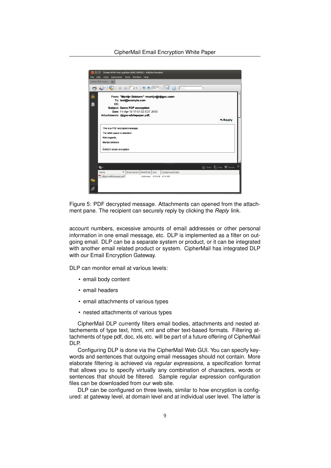

<span id="page-9-0"></span>Figure 5: PDF decrypted message. Attachments can opened from the attachment pane. The recipient can securely reply by clicking the *Reply* link.

account numbers, excessive amounts of email addresses or other personal information in one email message, etc. DLP is implemented as a filter on outgoing email. DLP can be a separate system or product, or it can be integrated with another email related product or system. CipherMail has integrated DLP with our Email Encryption Gateway.

DLP can monitor email at various levels:

- email body content
- email headers
- email attachments of various types
- nested attachments of various types

CipherMail DLP currently filters email bodies, attachments and nested attachements of type text, html, xml and other text-based formats. Filtering attachments of type pdf, doc, xls etc. will be part of a future offering of CipherMail DLP.

Configuring DLP is done via the CipherMail Web GUI. You can specify keywords and sentences that outgoing email messages should not contain. More elaborate filtering is achieved via *regular expressions*, a specification format that allows you to specify virtually any combination of characters, words or sentences that should be filtered. Sample regular expression configuration files can be downloaded from our web site.

DLP can be configured on three levels, similar to how encryption is configured: at gateway level, at domain level and at individual user level. The latter is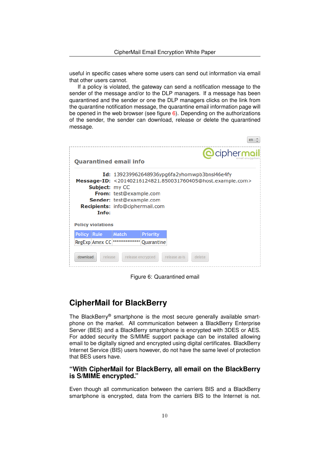useful in specific cases where some users can send out information via email that other users cannot.

If a policy is violated, the gateway can send a notification message to the sender of the message and/or to the DLP managers. If a message has been quarantined and the sender or one the DLP managers clicks on the link from the quarantine notification message, the quarantine email information page will be opened in the web browser (see figure [6\)](#page-10-0). Depending on the authorizations of the sender, the sender can download, release or delete the quarantined message.

|                          |                                                                                                                                                                                                                                                               |                               |                 |               | en                 |  |  |  |  |
|--------------------------|---------------------------------------------------------------------------------------------------------------------------------------------------------------------------------------------------------------------------------------------------------------|-------------------------------|-----------------|---------------|--------------------|--|--|--|--|
|                          |                                                                                                                                                                                                                                                               | <b>Quarantined email info</b> |                 |               | <b>@ciphermail</b> |  |  |  |  |
| <b>Policy violations</b> | $Id: 139239962648936$ ypg6fa2yhomwpb3bnsl46e4fy<br>Message-ID: <20140216124821.850031760405@host.example.com><br><b>Subject:</b> my CC<br><b>From:</b> test@example.com<br><b>Sender:</b> test@example.com<br><b>Recipients:</b> info@ciphermail.com<br>Info: |                               |                 |               |                    |  |  |  |  |
| Policy Rule              |                                                                                                                                                                                                                                                               | <b>Match</b>                  | <b>Priority</b> |               |                    |  |  |  |  |
|                          | <b>RegExp Amex CC</b>                                                                                                                                                                                                                                         |                               | Quarantine      |               |                    |  |  |  |  |
| download                 | release                                                                                                                                                                                                                                                       | release encrypted             |                 | release as-is | delete             |  |  |  |  |

<span id="page-10-0"></span>Figure 6: Quarantined email

## **CipherMail for BlackBerry**

The BlackBerry® smartphone is the most secure generally available smartphone on the market. All communication between a BlackBerry Enterprise Server (BES) and a BlackBerry smartphone is encrypted with 3DES or AES. For added security the S/MIME support package can be installed allowing email to be digitally signed and encrypted using digital certificates. BlackBerry Internet Service (BIS) users however, do not have the same level of protection that BES users have.

## **"With CipherMail for BlackBerry, all email on the BlackBerry is S/MIME encrypted."**

Even though all communication between the carriers BIS and a BlackBerry smartphone is encrypted, data from the carriers BIS to the Internet is not.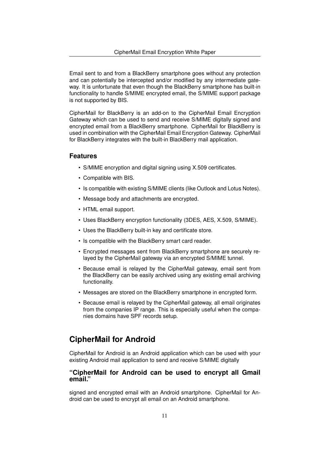Email sent to and from a BlackBerry smartphone goes without any protection and can potentially be intercepted and/or modified by any intermediate gateway. It is unfortunate that even though the BlackBerry smartphone has built-in functionality to handle S/MIME encrypted email, the S/MIME support package is not supported by BIS.

CipherMail for BlackBerry is an add-on to the CipherMail Email Encryption Gateway which can be used to send and receive S/MIME digitally signed and encrypted email from a BlackBerry smartphone. CipherMail for BlackBerry is used in combination with the CipherMail Email Encryption Gateway. CipherMail for BlackBerry integrates with the built-in BlackBerry mail application.

#### **Features**

- S/MIME encryption and digital signing using X.509 certificates.
- Compatible with BIS.
- Is compatible with existing S/MIME clients (like Outlook and Lotus Notes).
- Message body and attachments are encrypted.
- HTML email support.
- Uses BlackBerry encryption functionality (3DES, AES, X.509, S/MIME).
- Uses the BlackBerry built-in key and certificate store.
- Is compatible with the BlackBerry smart card reader.
- Encrypted messages sent from BlackBerry smartphone are securely relayed by the CipherMail gateway via an encrypted S/MIME tunnel.
- Because email is relayed by the CipherMail gateway, email sent from the BlackBerry can be easily archived using any existing email archiving functionality.
- Messages are stored on the BlackBerry smartphone in encrypted form.
- Because email is relayed by the CipherMail gateway, all email originates from the companies IP range. This is especially useful when the companies domains have SPF records setup.

## **CipherMail for Android**

CipherMail for Android is an Android application which can be used with your existing Android mail application to send and receive S/MIME digitally

#### **"CipherMail for Android can be used to encrypt all Gmail email."**

signed and encrypted email with an Android smartphone. CipherMail for Android can be used to encrypt all email on an Android smartphone.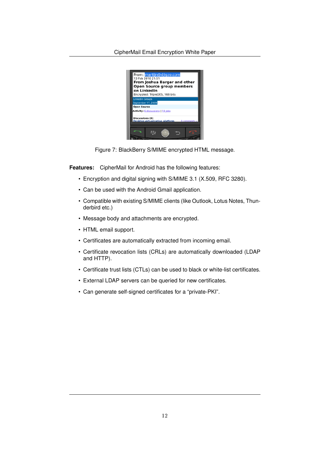

Figure 7: BlackBerry S/MIME encrypted HTML message.

**Features:** CipherMail for Android has the following features:

- Encryption and digital signing with S/MIME 3.1 (X.509, RFC 3280).
- Can be used with the Android Gmail application.
- Compatible with existing S/MIME clients (like Outlook, Lotus Notes, Thunderbird etc.)
- Message body and attachments are encrypted.
- HTML email support.
- Certificates are automatically extracted from incoming email.
- Certificate revocation lists (CRLs) are automatically downloaded (LDAP and HTTP).
- Certificate trust lists (CTLs) can be used to black or white-list certificates.
- External LDAP servers can be queried for new certificates.
- Can generate self-signed certificates for a "private-PKI".